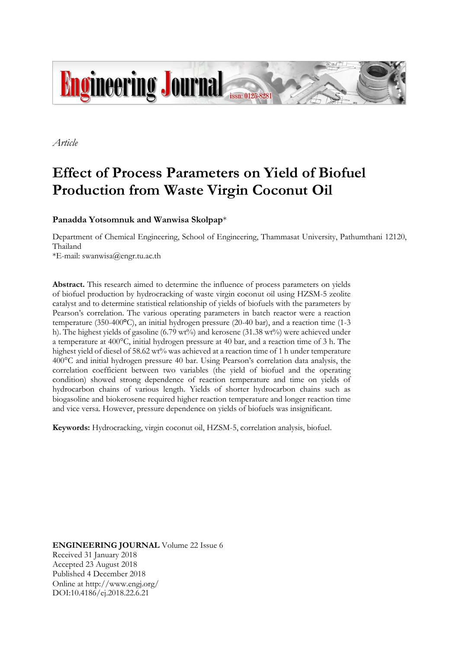

*Article*

# **Effect of Process Parameters on Yield of Biofuel Production from Waste Virgin Coconut Oil**

# **Panadda Yotsomnuk and Wanwisa Skolpap**\*

Department of Chemical Engineering, School of Engineering, Thammasat University, Pathumthani 12120, Thailand

\*E-mail: swanwisa@engr.tu.ac.th

**Abstract.** This research aimed to determine the influence of process parameters on yields of biofuel production by hydrocracking of waste virgin coconut oil using HZSM-5 zeolite catalyst and to determine statistical relationship of yields of biofuels with the parameters by Pearson's correlation. The various operating parameters in batch reactor were a reaction temperature (350-400**°**C), an initial hydrogen pressure (20-40 bar), and a reaction time (1-3 h). The highest yields of gasoline (6.79 wt%) and kerosene (31.38 wt%) were achieved under a temperature at 400°C, initial hydrogen pressure at 40 bar, and a reaction time of 3 h. The highest yield of diesel of 58.62 wt% was achieved at a reaction time of 1 h under temperature 400°C and initial hydrogen pressure 40 bar. Using Pearson's correlation data analysis, the correlation coefficient between two variables (the yield of biofuel and the operating condition) showed strong dependence of reaction temperature and time on yields of hydrocarbon chains of various length. Yields of shorter hydrocarbon chains such as biogasoline and biokerosene required higher reaction temperature and longer reaction time and vice versa. However, pressure dependence on yields of biofuels was insignificant.

**Keywords:** Hydrocracking, virgin coconut oil, HZSM-5, correlation analysis, biofuel.

**ENGINEERING JOURNAL** Volume 22 Issue 6 Received 31 January 2018 Accepted 23 August 2018 Published 4 December 2018 Online at http://www.engj.org/ DOI:10.4186/ej.2018.22.6.21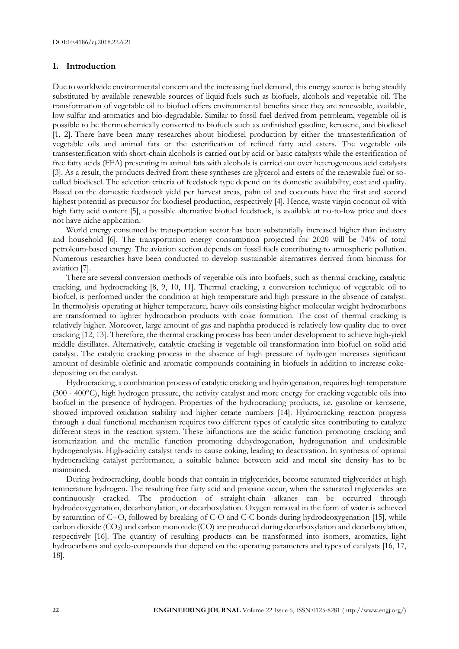## **1. Introduction**

Due toworldwide environmental concern and the increasing fuel demand, this energy source is being steadily substituted by available renewable sources of liquid fuels such as biofuels, alcohols and vegetable oil. The transformation of vegetable oil to biofuel offers environmental benefits since they are renewable, available, low sulfur and aromatics and bio-degradable. Similar to fossil fuel derived from petroleum, vegetable oil is possible to be thermochemically converted to biofuels such as unfinished gasoline, kerosene, and biodiesel [1, 2]. There have been many researches about biodiesel production by either the transesterification of vegetable oils and animal fats or the esterification of refined fatty acid esters. The vegetable oils transesterification with short-chain alcohols is carried out by acid or basic catalysts while the esterification of free fatty acids (FFA) presenting in animal fats with alcohols is carried out over heterogeneous acid catalysts [3]. As a result, the products derived from these syntheses are glycerol and esters of the renewable fuel or socalled biodiesel. The selection criteria of feedstock type depend on its domestic availability, cost and quality. Based on the domestic feedstock yield per harvest areas, palm oil and coconuts have the first and second highest potential as precursor for biodiesel production, respectively [4]. Hence, waste virgin coconut oil with high fatty acid content [5], a possible alternative biofuel feedstock, is available at no-to-low price and does not have niche application.

World energy consumed by transportation sector has been substantially increased higher than industry and household [6]. The transportation energy consumption projected for 2020 will be 74% of total petroleum-based energy. The aviation section depends on fossil fuels contributing to atmospheric pollution. Numerous researches have been conducted to develop sustainable alternatives derived from biomass for aviation [7].

There are several conversion methods of vegetable oils into biofuels, such as thermal cracking, catalytic cracking, and hydrocracking [8, 9, 10, 11]. Thermal cracking, a conversion technique of vegetable oil to biofuel, is performed under the condition at high temperature and high pressure in the absence of catalyst. In thermolysis operating at higher temperature, heavy oils consisting higher molecular weight hydrocarbons are transformed to lighter hydrocarbon products with coke formation. The cost of thermal cracking is relatively higher. Moreover, large amount of gas and naphtha produced is relatively low quality due to over cracking [12, 13]. Therefore, the thermal cracking process has been under development to achieve high-yield middle distillates. Alternatively, catalytic cracking is vegetable oil transformation into biofuel on solid acid catalyst. The catalytic cracking process in the absence of high pressure of hydrogen increases significant amount of desirable olefinic and aromatic compounds containing in biofuels in addition to increase cokedepositing on the catalyst.

Hydrocracking, a combination process of catalytic cracking and hydrogenation, requires high temperature (300 - 400 $^{\circ}$ C), high hydrogen pressure, the activity catalyst and more energy for cracking vegetable oils into biofuel in the presence of hydrogen. Properties of the hydrocracking products, i.e. gasoline or kerosene, showed improved oxidation stability and higher cetane numbers [14]. Hydrocracking reaction progress through a dual functional mechanism requires two different types of catalytic sites contributing to catalyze different steps in the reaction system. These bifunctions are the acidic function promoting cracking and isomerization and the metallic function promoting dehydrogenation, hydrogenation and undesirable hydrogenolysis. High-acidity catalyst tends to cause coking, leading to deactivation. In synthesis of optimal hydrocracking catalyst performance, a suitable balance between acid and metal site density has to be maintained.

During hydrocracking, double bonds that contain in triglycerides, become saturated triglycerides at high temperature hydrogen. The resulting free fatty acid and propane occur, when the saturated triglycerides are continuously cracked. The production of straight-chain alkanes can be occurred through hydrodeoxygenation, decarbonylation, or decarboxylation. Oxygen removal in the form of water is achieved by saturation of C=O, followed by breaking of C-O and C-C bonds during hydrodeoxygenation [15], while carbon dioxide  $(CO_2)$  and carbon monoxide  $(CO)$  are produced during decarboxylation and decarbonylation, respectively [16]. The quantity of resulting products can be transformed into isomers, aromatics, light hydrocarbons and cyclo-compounds that depend on the operating parameters and types of catalysts [16, 17, 18].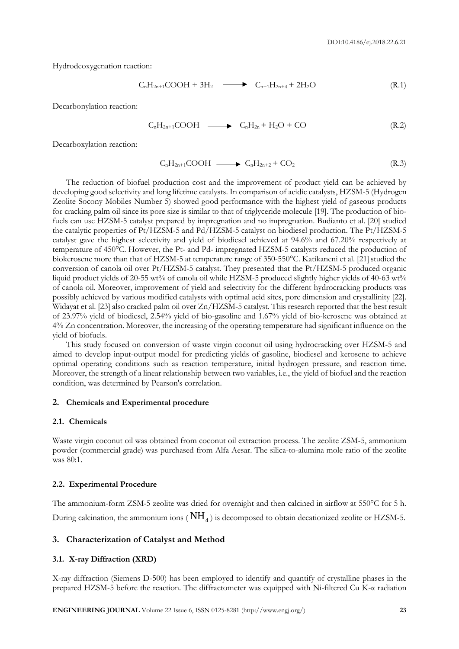Hydrodeoxygenation reaction:

$$
C_nH_{2n+1}COOH + 3H_2 \longrightarrow C_{n+1}H_{2n+4} + 2H_2O \tag{R.1}
$$

Decarbonylation reaction:

$$
C_nH_{2n+1}COOH \longrightarrow C_nH_{2n} + H_2O + CO \tag{R.2}
$$

Decarboxylation reaction:

$$
C_nH_{2n+1}COOH \longrightarrow C_nH_{2n+2} + CO_2 \tag{R.3}
$$

The reduction of biofuel production cost and the improvement of product yield can be achieved by developing good selectivity and long lifetime catalysts. In comparison of acidic catalysts, HZSM-5 (Hydrogen Zeolite Socony Mobiles Number 5) showed good performance with the highest yield of gaseous products for cracking palm oil since its pore size is similar to that of triglyceride molecule [19]. The production of biofuels can use HZSM-5 catalyst prepared by impregnation and no impregnation. Budianto et al. [20] studied the catalytic properties of Pt/HZSM-5 and Pd/HZSM-5 catalyst on biodiesel production. The Pt/HZSM-5 catalyst gave the highest selectivity and yield of biodiesel achieved at 94.6% and 67.20% respectively at temperature of 450°C. However, the Pt- and Pd- impregnated HZSM-5 catalysts reduced the production of biokerosene more than that of HZSM-5 at temperature range of 350-550°C. Katikaneni et al. [21] studied the conversion of canola oil over Pt/HZSM-5 catalyst. They presented that the Pt/HZSM-5 produced organic liquid product yields of 20-55 wt% of canola oil while HZSM-5 produced slightly higher yields of 40-63 wt% of canola oil. Moreover, improvement of yield and selectivity for the different hydrocracking products was possibly achieved by various modified catalysts with optimal acid sites, pore dimension and crystallinity [22]. Widayat et al. [23] also cracked palm oil over Zn/HZSM-5 catalyst. This research reported that the best result of 23.97% yield of biodiesel, 2.54% yield of bio-gasoline and 1.67% yield of bio-kerosene was obtained at 4% Zn concentration. Moreover, the increasing of the operating temperature had significant influence on the yield of biofuels.

This study focused on conversion of waste virgin coconut oil using hydrocracking over HZSM-5 and aimed to develop input-output model for predicting yields of gasoline, biodiesel and kerosene to achieve optimal operating conditions such as reaction temperature, initial hydrogen pressure, and reaction time. Moreover, the strength of a linear relationship between two variables, i.e., the yield of biofuel and the reaction condition, was determined by Pearson's correlation.

## **2. Chemicals and Experimental procedure**

#### **2.1. Chemicals**

Waste virgin coconut oil was obtained from coconut oil extraction process. The zeolite ZSM-5, ammonium powder (commercial grade) was purchased from Alfa Aesar. The silica-to-alumina mole ratio of the zeolite was 80:1.

#### **2.2. Experimental Procedure**

The ammonium-form ZSM-5 zeolite was dried for overnight and then calcined in airflow at 550°C for 5 h. During calcination, the ammonium ions ( $\rm NH_4^+$ ) is decomposed to obtain decationized zeolite or HZSM-5.

## **3. Characterization of Catalyst and Method**

#### **3.1. X-ray Diffraction (XRD)**

X-ray diffraction (Siemens D-500) has been employed to identify and quantify of crystalline phases in the prepared HZSM-5 before the reaction. The diffractometer was equipped with Ni-filtered Cu K-α radiation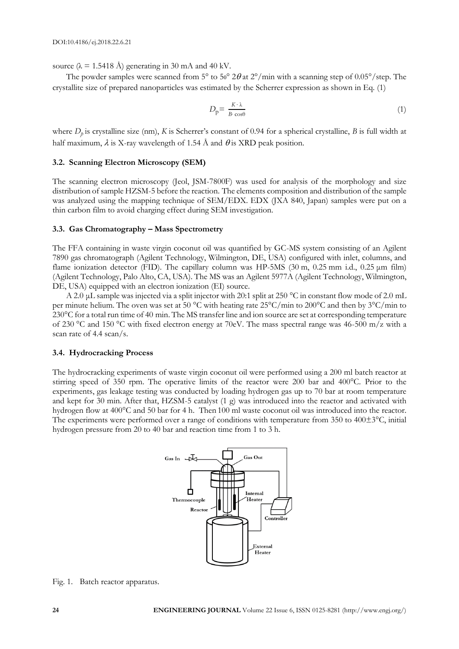source ( $\lambda = 1.5418$  Å) generating in 30 mA and 40 kV.

The powder samples were scanned from  $5^{\circ}$  to  $50^{\circ}$   $2\theta$  at  $2^{\circ}/$ min with a scanning step of  $0.05^{\circ}/$ step. The crystallite size of prepared nanoparticles was estimated by the Scherrer expression as shown in Eq. (1)

$$
D_{\mathbf{p}} = \frac{K \cdot \lambda}{B \cdot \cos \theta} \tag{1}
$$

where *D<sup>p</sup>* is crystalline size (nm), *K* is Scherrer's constant of 0.94 for a spherical crystalline, *B* is full width at half maximum,  $\lambda$  is X-ray wavelength of 1.54 Å and  $\theta$  is XRD peak position.

## **3.2. Scanning Electron Microscopy (SEM)**

The scanning electron microscopy (Jeol, JSM-7800F) was used for analysis of the morphology and size distribution of sample HZSM-5 before the reaction. The elements composition and distribution of the sample was analyzed using the mapping technique of SEM/EDX. EDX (JXA 840, Japan) samples were put on a thin carbon film to avoid charging effect during SEM investigation.

## **3.3. Gas Chromatography – Mass Spectrometry**

The FFA containing in waste virgin coconut oil was quantified by GC-MS system consisting of an Agilent 7890 gas chromatograph (Agilent Technology, Wilmington, DE, USA) configured with inlet, columns, and flame ionization detector (FID). The capillary column was HP-5MS (30 m, 0.25 mm i.d., 0.25 μm film) (Agilent Technology, Palo Alto, CA, USA). The MS was an Agilent 5977A (Agilent Technology, Wilmington, DE, USA) equipped with an electron ionization (EI) source.

A 2.0 μL sample was injected via a split injector with 20:1 split at 250 °C in constant flow mode of 2.0 mL per minute helium. The oven was set at 50 °C with heating rate 25°C/min to 200°C and then by 3°C/min to 230°C for a total run time of 40 min. The MS transfer line and ion source are set at corresponding temperature of 230 °C and 150 °C with fixed electron energy at 70eV. The mass spectral range was 46-500 m/z with a scan rate of 4.4 scan/s.

### **3.4. Hydrocracking Process**

The hydrocracking experiments of waste virgin coconut oil were performed using a 200 ml batch reactor at stirring speed of 350 rpm. The operative limits of the reactor were 200 bar and 400°C. Prior to the experiments, gas leakage testing was conducted by loading hydrogen gas up to 70 bar at room temperature and kept for 30 min. After that, HZSM-5 catalyst (1 g) was introduced into the reactor and activated with hydrogen flow at 400°C and 50 bar for 4 h. Then 100 ml waste coconut oil was introduced into the reactor. The experiments were performed over a range of conditions with temperature from 350 to  $400\pm3^{\circ}$ C, initial hydrogen pressure from 20 to 40 bar and reaction time from 1 to 3 h.



Fig. 1. Batch reactor apparatus.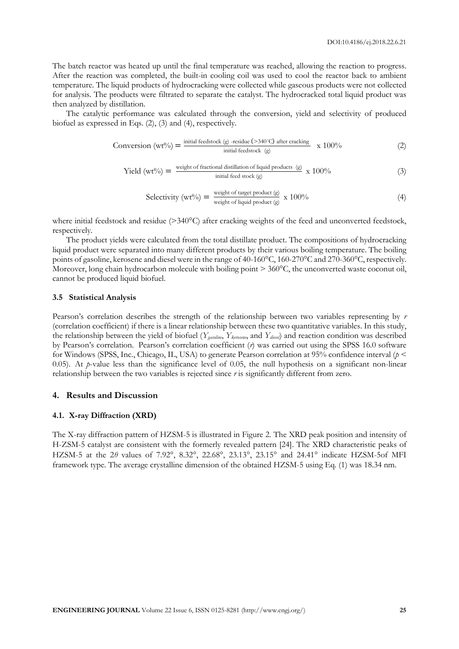The batch reactor was heated up until the final temperature was reached, allowing the reaction to progress. After the reaction was completed, the built-in cooling coil was used to cool the reactor back to ambient temperature. The liquid products of hydrocracking were collected while gaseous products were not collected for analysis. The products were filtrated to separate the catalyst. The hydrocracked total liquid product was then analyzed by distillation.

The catalytic performance was calculated through the conversion, yield and selectivity of produced biofuel as expressed in Eqs. (2), (3) and (4), respectively.

Conversion (wt%) = 
$$
\frac{\text{initial feedback (g) -residue (>340°C) after cracking}}{\text{initial feedback (g)}} \times 100\%
$$
 (2)

Yield (wt%) = 
$$
\frac{\text{weight of fractional distillation of liquid products (g)}}{\text{initial feed stock (g)}}
$$
 x 100% (3)

$$
\text{Selectivity (wt\%)} = \frac{\text{weight of target product (g)}}{\text{weight of liquid product (g)}} \times 100\%
$$
 (4)

where initial feedstock and residue (>340°C) after cracking weights of the feed and unconverted feedstock, respectively.

The product yields were calculated from the total distillate product. The compositions of hydrocracking liquid product were separated into many different products by their various boiling temperature. The boiling points of gasoline, kerosene and diesel were in the range of 40-160°C, 160-270°C and 270-360°C, respectively. Moreover, long chain hydrocarbon molecule with boiling point  $> 360^{\circ}$ C, the unconverted waste coconut oil, cannot be produced liquid biofuel.

#### **3.5 Statistical Analysis**

Pearson's correlation describes the strength of the relationship between two variables representing by *r* (correlation coefficient) if there is a linear relationship between these two quantitative variables. In this study, the relationship between the yield of biofuel (*Ygasoline*, *Ykerosene*, and *Ydiesel*) and reaction condition was described by Pearson's correlation. Pearson's correlation coefficient (*r*) was carried out using the SPSS 16.0 software for Windows (SPSS, Inc., Chicago, IL, USA) to generate Pearson correlation at 95% confidence interval (*p* < 0.05). At *p*-value less than the significance level of 0.05, the null hypothesis on a significant non-linear relationship between the two variables is rejected since *r* is significantly different from zero.

## **4. Results and Discussion**

#### **4.1. X-ray Diffraction (XRD)**

The X-ray diffraction pattern of HZSM-5 is illustrated in Figure 2. The XRD peak position and intensity of H-ZSM-5 catalyst are consistent with the formerly revealed pattern [24]. The XRD characteristic peaks of HZSM-5 at the 2θ values of 7.92°, 8.32°, 22.68°, 23.13°, 23.15° and 24.41° indicate HZSM-5of MFI framework type. The average crystalline dimension of the obtained HZSM-5 using Eq. (1) was 18.34 nm.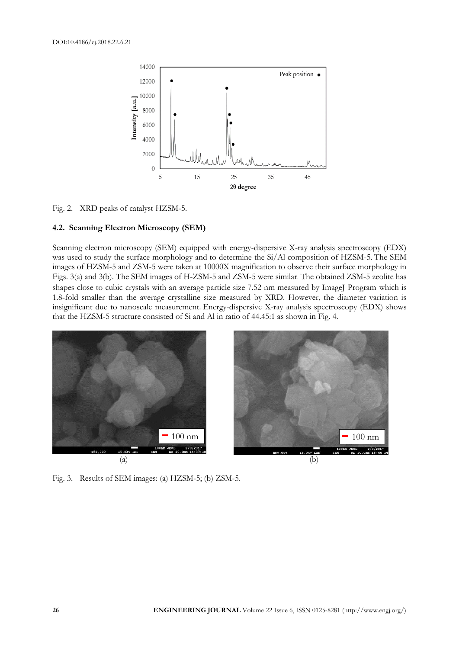

Fig. 2. XRD peaks of catalyst HZSM-5.

### **4.2. Scanning Electron Microscopy (SEM)**

Scanning electron microscopy (SEM) equipped with energy-dispersive X-ray analysis spectroscopy (EDX) was used to study the surface morphology and to determine the  $Si/Al$  composition of HZSM-5. The SEM images of HZSM-5 and ZSM-5 were taken at 10000X magnification to observe their surface morphology in Figs. 3(a) and 3(b). The SEM images of H-ZSM-5 and ZSM-5 were similar. The obtained ZSM-5 zeolite has shapes close to cubic crystals with an average particle size 7.52 nm measured by ImageJ Program which is 1.8-fold smaller than the average crystalline size measured by XRD. However, the diameter variation is insignificant due to nanoscale measurement. Energy-dispersive X-ray analysis spectroscopy (EDX) shows that the HZSM-5 structure consisted of Si and Al in ratio of 44.45:1 as shown in Fig. 4.



Fig. 3. Results of SEM images: (a) HZSM-5; (b) ZSM-5.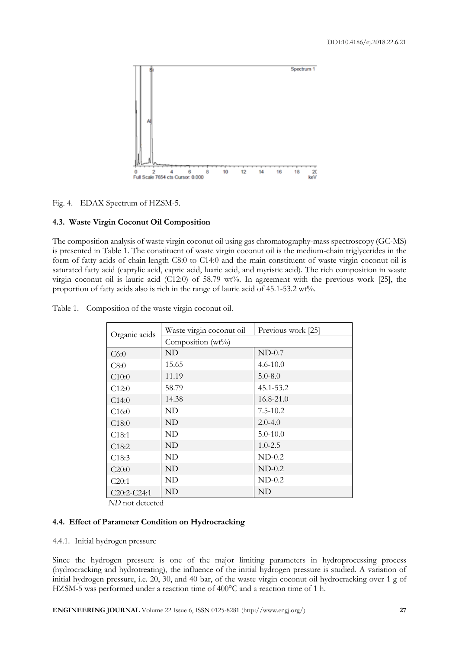

Fig. 4. EDAX Spectrum of HZSM-5.

## **4.3. Waste Virgin Coconut Oil Composition**

The composition analysis of waste virgin coconut oil using gas chromatography-mass spectroscopy (GC-MS) is presented in Table 1. The constituent of waste virgin coconut oil is the medium-chain triglycerides in the form of fatty acids of chain length C8:0 to C14:0 and the main constituent of waste virgin coconut oil is saturated fatty acid (caprylic acid, capric acid, luaric acid, and myristic acid). The rich composition in waste virgin coconut oil is lauric acid (C12:0) of 58.79 wt%. In agreement with the previous work [25], the proportion of fatty acids also is rich in the range of lauric acid of 45.1-53.2 wt%.

| Organic acids     | Waste virgin coconut oil | Previous work [25] |  |  |  |  |
|-------------------|--------------------------|--------------------|--|--|--|--|
|                   | Composition (wt%)        |                    |  |  |  |  |
| C6:0              | ND                       | $ND-0.7$           |  |  |  |  |
| C8:0              | 15.65                    | $4.6 - 10.0$       |  |  |  |  |
| C10:0             | 11.19                    | $5.0 - 8.0$        |  |  |  |  |
| C12:0             | 58.79                    | 45.1-53.2          |  |  |  |  |
| C14:0             | 14.38                    | $16.8 - 21.0$      |  |  |  |  |
| C16:0             | ND                       | $7.5 - 10.2$       |  |  |  |  |
| C18:0             | ND                       | $2.0 - 4.0$        |  |  |  |  |
| C18:1             | ND                       | $5.0 - 10.0$       |  |  |  |  |
| C <sub>18:2</sub> | ND                       | $1.0 - 2.5$        |  |  |  |  |
| C <sub>18:3</sub> | ND                       | $ND-0.2$           |  |  |  |  |
| C20:0             | ND                       | $ND-0.2$           |  |  |  |  |
| C20:1             | ND                       | $ND-0.2$           |  |  |  |  |
| $C20:2-C24:1$     | ND                       | ND                 |  |  |  |  |

Table 1. Composition of the waste virgin coconut oil.

*ND* not detected

# **4.4. Effect of Parameter Condition on Hydrocracking**

# 4.4.1. Initial hydrogen pressure

Since the hydrogen pressure is one of the major limiting parameters in hydroprocessing process (hydrocracking and hydrotreating), the influence of the initial hydrogen pressure is studied. A variation of initial hydrogen pressure, i.e. 20, 30, and 40 bar, of the waste virgin coconut oil hydrocracking over 1 g of HZSM-5 was performed under a reaction time of 400°C and a reaction time of 1 h.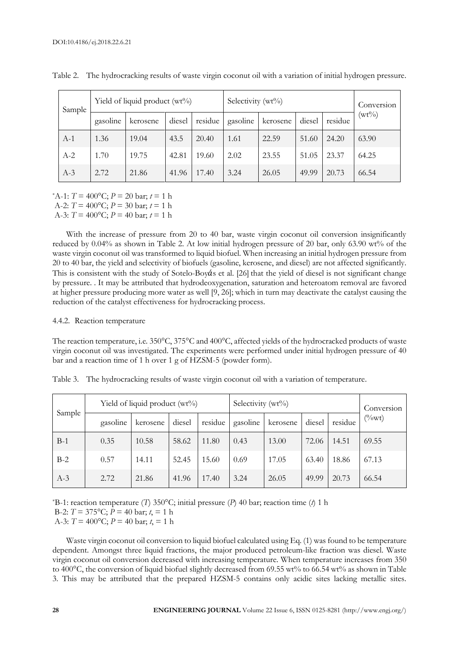|  | Sample   | Yield of liquid product $(wt\%)$ |        |         |          | Selectivity (wt%) |        |         |          | Conversion |
|--|----------|----------------------------------|--------|---------|----------|-------------------|--------|---------|----------|------------|
|  | gasoline | kerosene                         | diesel | residue | gasoline | kerosene          | diesel | residue | $(wt\%)$ |            |
|  | $A-1$    | 1.36                             | 19.04  | 43.5    | 20.40    | 1.61              | 22.59  | 51.60   | 24.20    | 63.90      |
|  | $A-2$    | 1.70                             | 19.75  | 42.81   | 19.60    | 2.02              | 23.55  | 51.05   | 23.37    | 64.25      |
|  | $A-3$    | 2.72                             | 21.86  | 41.96   | 17.40    | 3.24              | 26.05  | 49.99   | 20.73    | 66.54      |

Table 2. The hydrocracking results of waste virgin coconut oil with a variation of initial hydrogen pressure.

\*A-1: *T* = 400°C; *P* = 20 bar; *t* = 1 h A-2:  $T = 400^{\circ}$ C;  $P = 30$  bar;  $t = 1$  h

A-3:  $T = 400$ °C;  $P = 40$  bar;  $t = 1$  h

With the increase of pressure from 20 to 40 bar, waste virgin coconut oil conversion insignificantly reduced by 0.04% as shown in Table 2. At low initial hydrogen pressure of 20 bar, only 63.90 wt% of the waste virgin coconut oil was transformed to liquid biofuel. When increasing an initial hydrogen pressure from 20 to 40 bar, the yield and selectivity of biofuels (gasoline, kerosene, and diesel) are not affected significantly. This is consistent with the study of Sotelo-Boy $\acute{a}$ s et al. [26] that the yield of diesel is not significant change by pressure. . It may be attributed that hydrodeoxygenation, saturation and heteroatom removal are favored at higher pressure producing more water as well [9, 26]; which in turn may deactivate the catalyst causing the reduction of the catalyst effectiveness for hydrocracking process.

#### 4.4.2. Reaction temperature

The reaction temperature, i.e. 350°C, 375°C and 400°C, affected yields of the hydrocracked products of waste virgin coconut oil was investigated. The experiments were performed under initial hydrogen pressure of 40 bar and a reaction time of 1 h over 1 g of HZSM-5 (powder form).

|  |  |  |  | Table 3. The hydrocracking results of waste virgin coconut oil with a variation of temperature. |
|--|--|--|--|-------------------------------------------------------------------------------------------------|
|  |  |  |  |                                                                                                 |

| Sample | Yield of liquid product $(wt\%)$ | Selectivity (wt%) |        |         |          | Conversion |        |         |          |
|--------|----------------------------------|-------------------|--------|---------|----------|------------|--------|---------|----------|
|        | gasoline                         | kerosene          | diesel | residue | gasoline | kerosene   | diesel | residue | $(\%wt)$ |
| $B-1$  | 0.35                             | 10.58             | 58.62  | 11.80   | 0.43     | 13.00      | 72.06  | 14.51   | 69.55    |
| $B-2$  | 0.57                             | 14.11             | 52.45  | 15.60   | 0.69     | 17.05      | 63.40  | 18.86   | 67.13    |
| $A-3$  | 2.72                             | 21.86             | 41.96  | 17.40   | 3.24     | 26.05      | 49.99  | 20.73   | 66.54    |

\*B-1: reaction temperature (*T*) 350°C; initial pressure (*P*) 40 bar; reaction time (*t*) 1 h

B-2:  $T = 375^{\circ}$ C;  $P = 40$  bar;  $t = 1$  h A-3:  $T = 400$ °C;  $P = 40$  bar;  $t = 1$  h

Waste virgin coconut oil conversion to liquid biofuel calculated using Eq. (1) was found to be temperature dependent. Amongst three liquid fractions, the major produced petroleum-like fraction was diesel. Waste virgin coconut oil conversion decreased with increasing temperature. When temperature increases from 350 to 400°C, the conversion of liquid biofuel slightly decreased from 69.55 wt% to 66.54 wt% as shown in Table 3. This may be attributed that the prepared HZSM-5 contains only acidic sites lacking metallic sites.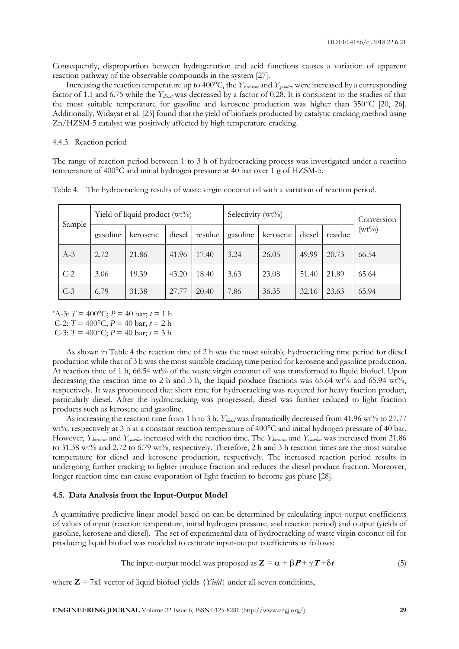Consequently, disproportion between hydrogenation and acid functions causes a variation of apparent reaction pathway of the observable compounds in the system [27].

Increasing the reaction temperature up to 400°C, the *Ykerosene* and *Ygasoline* were increased by a corresponding factor of 1.1 and 6.75 while the *Ydiesel* was decreased by a factor of 0.28. It is consistent to the studies of that the most suitable temperature for gasoline and kerosene production was higher than 350°C [20, 26]. Additionally, Widayat et al. [23] found that the yield of biofuels producted by catalytic cracking method using Zn/HZSM-5 catalyst was positively affected by high temperature cracking.

#### 4.4.3. Reaction period

The range of reaction period between 1 to 3 h of hydrocracking process was investigated under a reaction temperature of 400°C and initial hydrogen pressure at 40 bar over 1 g of HZSM-5.

|        |          |          | Yield of liquid product $(wt\%)$ |         | Selectivity (wt%) | Conversion |        |         |          |       |
|--------|----------|----------|----------------------------------|---------|-------------------|------------|--------|---------|----------|-------|
| Sample | gasoline | kerosene | diesel                           | residue | gasoline          | kerosene   | diesel | residue | $(wt\%)$ |       |
|        | $A-3$    | 2.72     | 21.86                            | 41.96   | 17.40             | 3.24       | 26.05  | 49.99   | 20.73    | 66.54 |
|        | $C-2$    | 3.06     | 19.39                            | 43.20   | 18.40             | 3.63       | 23.08  | 51.40   | 21.89    | 65.64 |
|        | $C-3$    | 6.79     | 31.38                            | 27.77   | 20.40             | 7.86       | 36.35  | 32.16   | 23.63    | 65.94 |

Table 4. The hydrocracking results of waste virgin coconut oil with a variation of reaction period.

\*A-3:  $T = 400$ °C;  $P = 40$  bar;  $t = 1$  h

C-2: *T* = 400°C; *P* = 40 bar; *t* = 2 h

C-3:  $T = 400$ °C;  $P = 40$  bar;  $t = 3$  h

As shown in Table 4 the reaction time of 2 h was the most suitable hydrocracking time period for diesel production while that of 3 h was the most suitable cracking time period for kerosene and gasoline production. At reaction time of 1 h, 66.54 wt% of the waste virgin coconut oil was transformed to liquid biofuel. Upon decreasing the reaction time to 2 h and 3 h, the liquid produce fractions was 65.64 wt% and 65.94 wt%, respectively. It was pronounced that short time for hydrocracking was required for heavy fraction product, particularly diesel. After the hydrocracking was progressed, diesel was further reduced to light fraction products such as kerosene and gasoline.

As increasing the reaction time from 1 h to 3 h, *Ydiesel* was dramatically decreased from 41.96 wt% to 27.77 wt%, respectively at 3 h at a constant reaction temperature of 400°C and initial hydrogen pressure of 40 bar. However, *Ykerosene* and *Ygasoline* increased with the reaction time. The *Ykerosene* and *Ygasoline* was increased from 21.86 to 31.38 wt% and 2.72 to 6.79 wt%, respectively. Therefore, 2 h and 3 h reaction times are the most suitable temperature for diesel and kerosene production, respectively. The increased reaction period results in undergoing further cracking to lighter produce fraction and reduces the diesel produce fraction. Moreover, longer reaction time can cause evaporation of light fraction to become gas phase [28].

#### **4.5. Data Analysis from the Input-Output Model**

A quantitative predictive linear model based on can be determined by calculating input-output coefficients of values of input (reaction temperature, initial hydrogen pressure, and reaction period) and output (yields of gasoline, kerosene and diesel). The set of experimental data of hydrocracking of waste virgin coconut oil for producing liquid biofuel was modeled to estimate input-output coefficients as follows:

The input-output model was proposed as 
$$
\mathbf{Z} = \alpha + \beta \mathbf{P} + \gamma \mathbf{T} + \delta \mathbf{t}
$$
 (5)

where  $Z = 7x1$  vector of liquid biofuel yields  ${Yield}$  under all seven conditions,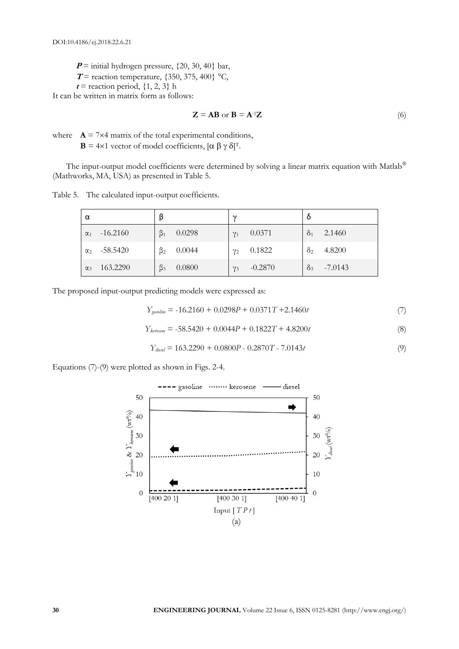$P =$  initial hydrogen pressure,  $\{20, 30, 40\}$  bar,

- **T** = reaction temperature,  $\{350, 375, 400\}$  °C,
- $t$  = reaction period,  $\{1, 2, 3\}$  h

It can be written in matrix form as follows:

$$
\mathbf{Z} = \mathbf{AB} \text{ or } \mathbf{B} = \mathbf{A}^1 \mathbf{Z} \tag{6}
$$

where  $\mathbf{A} = 7 \times 4$  matrix of the total experimental conditions,  $\mathbf{B} = 4 \times 1$  vector of model coefficients,  $[\alpha \beta \gamma \delta]^T$ .

The input-output model coefficients were determined by solving a linear matrix equation with Matlab<sup>®</sup> (Mathworks, MA, USA) as presented in Table 5.

| Table 5. | The calculated input-output coefficients. |  |
|----------|-------------------------------------------|--|
|          |                                           |  |

| α            |            | β         |        | $\sim$     |           |            |           |
|--------------|------------|-----------|--------|------------|-----------|------------|-----------|
| $\alpha_1$   | $-16.2160$ | $\beta_1$ | 0.0298 | $\gamma_1$ | 0.0371    | $\delta_1$ | 2.1460    |
| $\alpha_{2}$ | -58.5420   | $\beta_2$ | 0.0044 | $\gamma_2$ | 0.1822    | $\delta_2$ | 4.8200    |
| $\alpha_3$   | 163.2290   | $\beta_3$ | 0.0800 | $\gamma_3$ | $-0.2870$ | $\delta_3$ | $-7.0143$ |

The proposed input-output predicting models were expressed as:

$$
Y_{\text{gasoline}} = -16.2160 + 0.0298P + 0.0371T + 2.1460t
$$
\n<sup>(7)</sup>

$$
Y_{\text{kerosome}} = -58.5420 + 0.0044P + 0.1822T + 4.8200t
$$
\n(8)

$$
Y_{\text{direct}} = 163.2290 + 0.0800P - 0.2870T - 7.0143t
$$
\n<sup>(9)</sup>

Equations (7)-(9) were plotted as shown in Figs. 2-4.

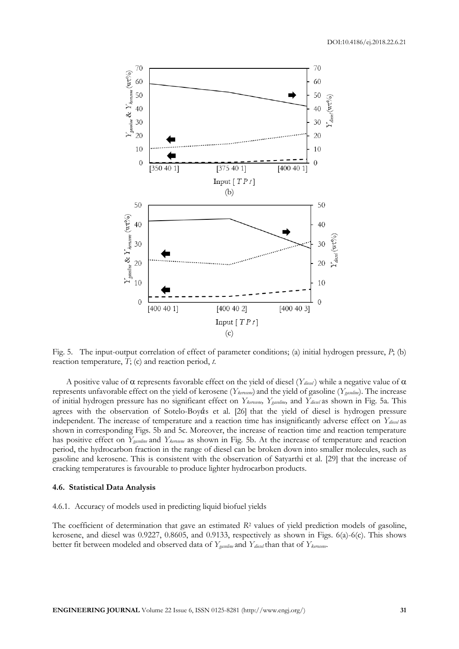

Fig. 5. The input-output correlation of effect of parameter conditions; (a) initial hydrogen pressure, *P*; (b) reaction temperature, *T*; (c) and reaction period, *t*.

A positive value of  $\alpha$  represents favorable effect on the yield of diesel (*Y<sub>diesel</sub>*) while a negative value of  $\alpha$ represents unfavorable effect on the yield of kerosene (*Ykerosene*) and the yield of gasoline (*Ygasoline*). The increase of initial hydrogen pressure has no significant effect on *Ykerosene, Ygasoline,* and *Ydiesel* as shown in Fig. 5a*.* This agrees with the observation of Sotelo-Boy $\acute{a}$ s et al. [26] that the yield of diesel is hydrogen pressure independent. The increase of temperature and a reaction time has insignificantly adverse effect on *Ydiesel* as shown in corresponding Figs. 5b and 5c. Moreover, the increase of reaction time and reaction temperature has positive effect on *Ygasoline* and *Ykerosene* as shown in Fig. 5b. At the increase of temperature and reaction period, the hydrocarbon fraction in the range of diesel can be broken down into smaller molecules, such as gasoline and kerosene. This is consistent with the observation of Satyarthi et al. [29] that the increase of cracking temperatures is favourable to produce lighter hydrocarbon products.

#### **4.6. Statistical Data Analysis**

#### 4.6.1. Accuracy of models used in predicting liquid biofuel yields

The coefficient of determination that gave an estimated *R*<sup>2</sup> values of yield prediction models of gasoline, kerosene, and diesel was 0.9227, 0.8605, and 0.9133, respectively as shown in Figs. 6(a)-6(c). This shows better fit between modeled and observed data of *Ygasoline* and *Ydiesel* than that of *Ykerosene*.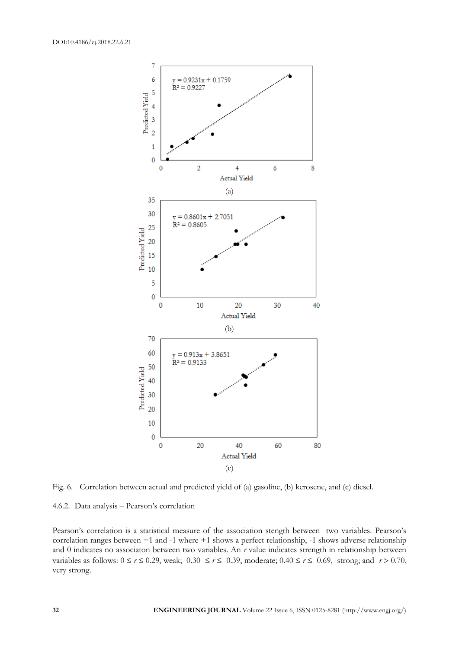

Fig. 6. Correlation between actual and predicted yield of (a) gasoline, (b) kerosene, and (c) diesel.

4.6.2. Data analysis – Pearson's correlation

Pearson's correlation is a statistical measure of the association stength between two variables. Pearson's correlation ranges between +1 and -1 where +1 shows a perfect relationship, -1 shows adverse relationship and 0 indicates no associaton between two variables. An *r* value indicates strength in relationship between variables as follows:  $0 \le r \le 0.29$ , weak;  $0.30 \le r \le 0.39$ , moderate;  $0.40 \le r \le 0.69$ , strong; and  $r > 0.70$ , very strong.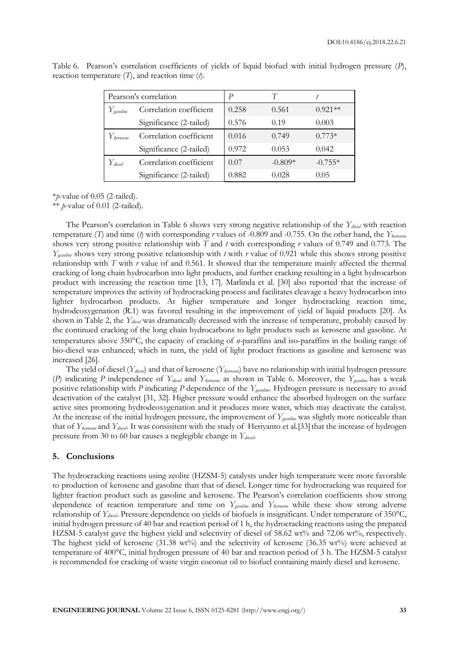|                         | Pearson's correlation   | P     |           |           |
|-------------------------|-------------------------|-------|-----------|-----------|
| $Y_{\textit{gasoline}}$ | Correlation coefficient | 0.258 | 0.561     | $0.921**$ |
|                         | Significance (2-tailed) | 0.576 | 0.19      | 0.003     |
| $Y_\mathit{kernsene}$   | Correlation coefficient | 0.016 | 0.749     | $0.773*$  |
|                         | Significance (2-tailed) | 0.972 | 0.053     | 0.042     |
| $Y_{\textit{diesel}}$   | Correlation coefficient | 0.07  | $-0.809*$ | $-0.755*$ |
|                         | Significance (2-tailed) | 0.882 | 0.028     | 0.05      |

Table 6. Pearson's correlation coefficients of yields of liquid biofuel with initial hydrogen pressure (*P*), reaction temperature (*T*), and reaction time (*t*).

\**p*-value of 0.05 (2-tailed).

\*\* *p*-value of 0.01 (2-tailed).

The Pearson's correlation in Table 6 shows very strong negative relationship of the *Ydiesel* with reaction temperature (*T*) and time (*t*) with corresponding *r* values of -0.809 and -0.755. On the other hand, the *Ykerosene* shows very strong positive relationship with *T* and *t* with corresponding *r* values of 0.749 and 0.773. The *Ygasoline* shows very strong positive relationship with *t* with *r* value of 0.921 while this shows strong positive relationship with *T* with *r* value of and 0.561. It showed that the temperature mainly affected the thermal cracking of long chain hydrocarbon into light products, and further cracking resulting in a light hydrocarbon product with increasing the reaction time [13, 17]. Marlinda et al. [30] also reported that the increase of temperature improves the activity of hydrocracking process and facilitates cleavage a heavy hydrocarbon into lighter hydrocarbon products. At higher temperature and longer hydrocracking reaction time, hydrodeoxygenation (R.1) was favored resulting in the improvement of yield of liquid products [20]. As shown in Table 2, the *Ydiesel* was dramatically decreased with the increase of temperature, probably caused by the continued cracking of the long chain hydrocarbons to light products such as kerosene and gasoline. At temperatures above 350°C, the capacity of cracking of *n*-paraffins and iso-paraffins in the boiling range of bio-diesel was enhanced; which in turn, the yield of light product fractions as gasoline and kerosene was increased [26].

The yield of diesel (*Ydiesel*) and that of kerosene (*Ykerosene*) have no relationship with initial hydrogen pressure (*P*) indicating *P* independence of *Ydiesel* and *Ykerosene* as shown in Table 6. Moreover, the *Ygasoline* has a weak positive relationship with *P* indicating *P* dependence of the *Ygasoline*. Hydrogen pressure is necessary to avoid deactivation of the catalyst [31, 32]. Higher pressure would enhance the absorbed hydrogen on the surface active sites promoting hydrodeoxygenation and it produces more water, which may deactivate the catalyst. At the increase of the initial hydrogen pressure, the improvement of *Ygasoline* was slightly more noticeable than that of *Y*<sub>kerosene</sub> and *Y*<sub>diesel</sub>. It was consisitent with the study of Heriyanto et al.[33] that the increase of hydrogen pressure from 30 to 60 bar causes a neglegible change in *Ydiesel*.

### **5. Conclusions**

The hydrocracking reactions using zeolite (HZSM-5) catalysts under high temperature were more favorable to production of kerosene and gasoline than that of diesel. Longer time for hydrocracking was required for lighter fraction product such as gasoline and kerosene. The Pearson's correlation coefficients show strong dependence of reaction temperature and time on *Ygasoline* and *Ykerosene* while these show strong adverse relationship of *Ydiesel*. Pressure dependence on yields of biofuels is insignificant. Under temperature of 350°C, initial hydrogen pressure of 40 bar and reaction period of 1 h, the hydrocracking reactions using the prepared HZSM-5 catalyst gave the highest yield and selectivity of diesel of 58.62 wt% and 72.06 wt%, respectively. The highest yield of kerosene (31.38 wt%) and the selectivity of kerosene (36.35 wt%) were achieved at temperature of 400°C, initial hydrogen pressure of 40 bar and reaction period of 3 h. The HZSM-5 catalyst is recommended for cracking of waste virgin coconut oil to biofuel containing mainly diesel and kerosene.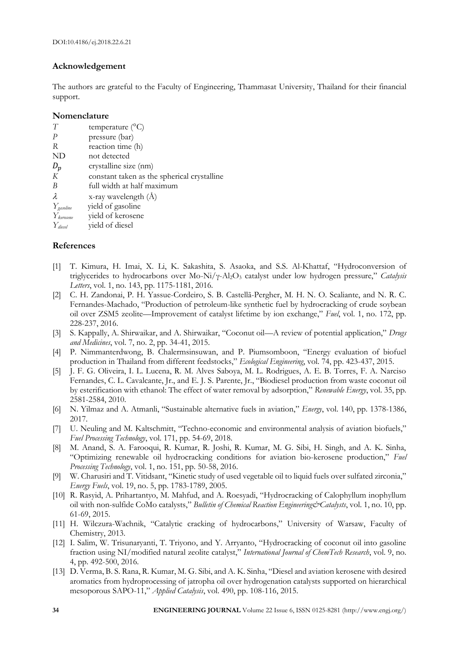# **Acknowledgement**

The authors are grateful to the Faculty of Engineering, Thammasat University, Thailand for their financial support.

# **Nomenclature**

| T                                   | temperature $(^{\circ}C)$                   |
|-------------------------------------|---------------------------------------------|
| P                                   | pressure (bar)                              |
| R                                   | reaction time (h)                           |
| ND                                  | not detected                                |
| $D_p$                               | crystalline size (nm)                       |
| К                                   | constant taken as the spherical crystalline |
| B                                   | full width at half maximum                  |
| λ                                   | x-ray wavelength $(\AA)$                    |
| $Y_{\scriptsize{\textit{gasline}}}$ | yield of gasoline                           |
| $Y_{\mathit{kerosene}}$             | yield of kerosene                           |
| Y <sub>diesel</sub>                 | yield of diesel                             |

# **References**

- [1] T. Kimura, H. Imai, X. Li, K. Sakashita, S. Asaoka, and S.S. Al-Khattaf, "Hydroconversion of triglycerides to hydrocarbons over Mo-Ni/γ-Al2O<sup>3</sup> catalyst under low hydrogen pressure," *Catalysis Letters*, vol. 1, no. 143, pp. 1175-1181, 2016.
- [2] C. H. Zandonai, P. H. Yassue-Cordeiro, S. B. Castellã-Pergher, M. H. N. O. Scaliante, and N. R. C. Fernandes-Machado, "Production of petroleum-like synthetic fuel by hydrocracking of crude soybean oil over ZSM5 zeolite—Improvement of catalyst lifetime by ion exchange," *Fuel*, vol. 1, no. 172, pp. 228-237, 2016.
- [3] S. Kappally, A. Shirwaikar, and A. Shirwaikar, "Coconut oil—A review of potential application," *Drugs and Medicines*, vol. 7, no. 2, pp. 34-41, 2015.
- [4] P. Nimmanterdwong, B. Chalermsinsuwan, and P. Piumsomboon, "Energy evaluation of biofuel production in Thailand from different feedstocks," *Ecological Engineering*, vol. 74, pp. 423-437, 2015.
- [5] J. F. G. Oliveira, I. L. Lucena, R. M. Alves Saboya, M. L. Rodrigues, A. E. B. Torres, F. A. Narciso Fernandes, C. L. Cavalcante, Jr., and E. J. S. Parente, Jr., "Biodiesel production from waste coconut oil by esterification with ethanol: The effect of water removal by adsorption," *Renewable Energy*, vol. 35, pp. 2581-2584, 2010.
- [6] N. Yilmaz and A. Atmanli, "Sustainable alternative fuels in aviation," *Energy*, vol. 140, pp. 1378-1386, 2017.
- [7] U. Neuling and M. Kaltschmitt, "Techno-economic and environmental analysis of aviation biofuels," *Fuel Processing Technology*, vol. 171, pp. 54-69, 2018.
- [8] M. Anand, S. A. Farooqui, R. Kumar, R. Joshi, R. Kumar, M. G. Sibi, H. Singh, and A. K. Sinha, "Optimizing renewable oil hydrocracking conditions for aviation bio-kerosene production," *Fuel Processing Technology*, vol. 1, no. 151, pp. 50-58, 2016.
- [9] W. Charusiri and T. Vitidsant, "Kinetic study of used vegetable oil to liquid fuels over sulfated zirconia," *Energy Fuels*, vol. 19, no. 5, pp. 1783-1789, 2005.
- [10] R. Rasyid, A. Prihartantyo, M. Mahfud, and A. Roesyadi, "Hydrocracking of Calophyllum inophyllum oil with non-sulfide CoMo catalysts," *Bulletin of Chemical Reaction Engineering&Catalysts*, vol. 1, no. 10, pp. 61-69, 2015.
- [11] H. Wilczura-Wachnik, "Catalytic cracking of hydrocarbons," University of Warsaw, Faculty of Chemistry, 2013.
- [12] I. Salim, W. Trisunaryanti, T. Triyono, and Y. Arryanto, "Hydrocracking of coconut oil into gasoline fraction using NI/modified natural zeolite catalyst," *International Journal of ChemTech Research*, vol. 9, no. 4, pp. 492-500, 2016.
- [13] D. Verma, B. S. Rana, R. Kumar, M. G. Sibi, and A. K. Sinha, "Diesel and aviation kerosene with desired aromatics from hydroprocessing of jatropha oil over hydrogenation catalysts supported on hierarchical mesoporous SAPO-11," *Applied Catalysis*, vol. 490, pp. 108-116, 2015.